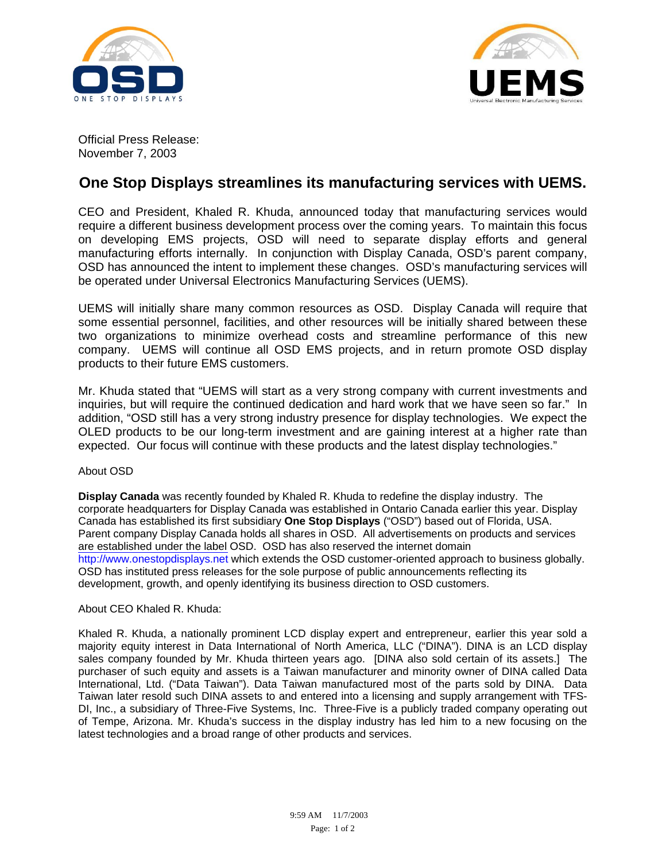



Official Press Release: November 7, 2003

## **One Stop Displays streamlines its manufacturing services with UEMS.**

CEO and President, Khaled R. Khuda, announced today that manufacturing services would require a different business development process over the coming years. To maintain this focus on developing EMS projects, OSD will need to separate display efforts and general manufacturing efforts internally. In conjunction with Display Canada, OSD's parent company, OSD has announced the intent to implement these changes. OSD's manufacturing services will be operated under Universal Electronics Manufacturing Services (UEMS).

UEMS will initially share many common resources as OSD. Display Canada will require that some essential personnel, facilities, and other resources will be initially shared between these two organizations to minimize overhead costs and streamline performance of this new company. UEMS will continue all OSD EMS projects, and in return promote OSD display products to their future EMS customers.

Mr. Khuda stated that "UEMS will start as a very strong company with current investments and inquiries, but will require the continued dedication and hard work that we have seen so far." In addition, "OSD still has a very strong industry presence for display technologies. We expect the OLED products to be our long-term investment and are gaining interest at a higher rate than expected. Our focus will continue with these products and the latest display technologies."

## About OSD

**Display Canada** was recently founded by Khaled R. Khuda to redefine the display industry. The corporate headquarters for Display Canada was established in Ontario Canada earlier this year. Display Canada has established its first subsidiary **One Stop Displays** ("OSD") based out of Florida, USA. Parent company Display Canada holds all shares in OSD. All advertisements on products and services are established under the label OSD. OSD has also reserved the internet domain http://www.onestopdisplays.net which extends the OSD customer-oriented approach to business globally. OSD has instituted press releases for the sole purpose of public announcements reflecting its development, growth, and openly identifying its business direction to OSD customers.

## About CEO Khaled R. Khuda:

Khaled R. Khuda, a nationally prominent LCD display expert and entrepreneur, earlier this year sold a majority equity interest in Data International of North America, LLC ("DINA"). DINA is an LCD display sales company founded by Mr. Khuda thirteen years ago. [DINA also sold certain of its assets.] The purchaser of such equity and assets is a Taiwan manufacturer and minority owner of DINA called Data International, Ltd. ("Data Taiwan"). Data Taiwan manufactured most of the parts sold by DINA. Data Taiwan later resold such DINA assets to and entered into a licensing and supply arrangement with TFS-DI, Inc., a subsidiary of Three-Five Systems, Inc. Three-Five is a publicly traded company operating out of Tempe, Arizona. Mr. Khuda's success in the display industry has led him to a new focusing on the latest technologies and a broad range of other products and services.